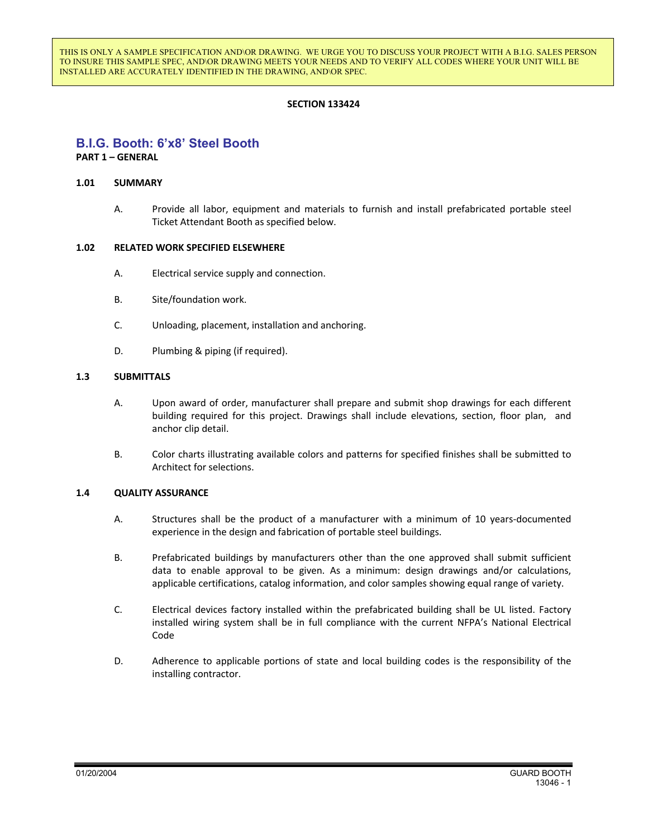THIS IS ONLY A SAMPLE SPECIFICATION AND\OR DRAWING. WE URGE YOU TO DISCUSS YOUR PROJECT WITH A B.I.G. SALES PERSON TO INSURE THIS SAMPLE SPEC, AND\OR DRAWING MEETS YOUR NEEDS AND TO VERIFY ALL CODES WHERE YOUR UNIT WILL BE INSTALLED ARE ACCURATELY IDENTIFIED IN THE DRAWING, AND\OR SPEC.

## **SECTION 133424**

# **B.I.G. Booth: 6'x8' Steel Booth**

## **PART 1 – GENERAL**

### **1.01 SUMMARY**

A. Provide all labor, equipment and materials to furnish and install prefabricated portable steel Ticket Attendant Booth as specified below.

### **1.02 RELATED WORK SPECIFIED ELSEWHERE**

- A. Electrical service supply and connection.
- B. Site/foundation work.
- C. Unloading, placement, installation and anchoring.
- D. Plumbing & piping (if required).

### **1.3 SUBMITTALS**

- A. Upon award of order, manufacturer shall prepare and submit shop drawings for each different building required for this project. Drawings shall include elevations, section, floor plan, and anchor clip detail.
- B. Color charts illustrating available colors and patterns for specified finishes shall be submitted to Architect for selections.

#### **1.4 QUALITY ASSURANCE**

- A. Structures shall be the product of a manufacturer with a minimum of 10 years-documented experience in the design and fabrication of portable steel buildings.
- B. Prefabricated buildings by manufacturers other than the one approved shall submit sufficient data to enable approval to be given. As a minimum: design drawings and/or calculations, applicable certifications, catalog information, and color samples showing equal range of variety.
- C. Electrical devices factory installed within the prefabricated building shall be UL listed. Factory installed wiring system shall be in full compliance with the current NFPA's National Electrical Code
- D. Adherence to applicable portions of state and local building codes is the responsibility of the installing contractor.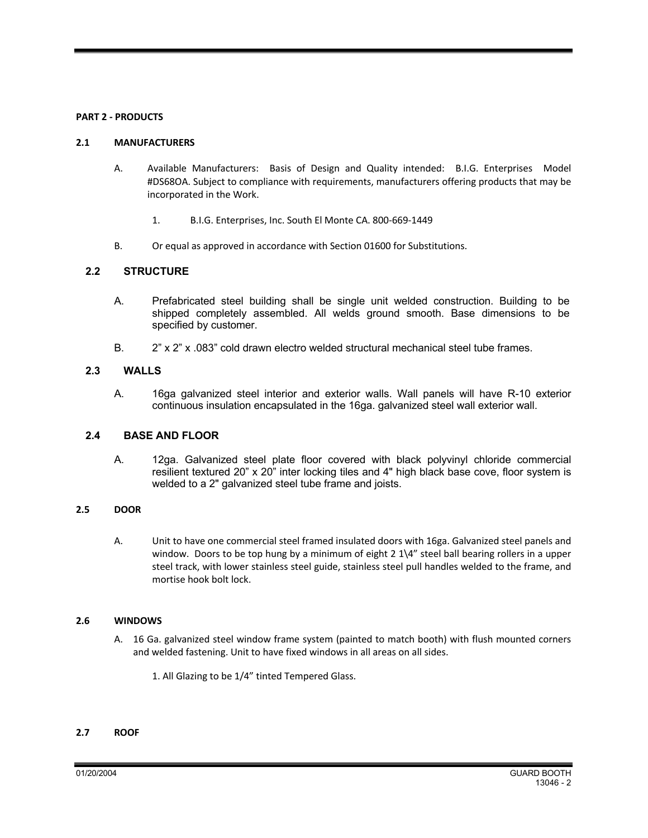### **PART 2 - PRODUCTS**

### **2.1 MANUFACTURERS**

- A. Available Manufacturers: Basis of Design and Quality intended: B.I.G. Enterprises Model #DS68OA. Subject to compliance with requirements, manufacturers offering products that may be incorporated in the Work.
	- 1. B.I.G. Enterprises, Inc. South El Monte CA. 800-669-1449
- B. Or equal as approved in accordance with Section 01600 for Substitutions.

## **2.2 STRUCTURE**

- A. Prefabricated steel building shall be single unit welded construction. Building to be shipped completely assembled. All welds ground smooth. Base dimensions to be specified by customer.
- B. 2" x 2" x .083" cold drawn electro welded structural mechanical steel tube frames.

### **2.3 WALLS**

A. 16ga galvanized steel interior and exterior walls. Wall panels will have R-10 exterior continuous insulation encapsulated in the 16ga. galvanized steel wall exterior wall.

## **2.4 BASE AND FLOOR**

A. 12ga. Galvanized steel plate floor covered with black polyvinyl chloride commercial resilient textured 20" x 20" inter locking tiles and 4" high black base cove, floor system is welded to a 2" galvanized steel tube frame and joists.

#### **2.5 DOOR**

A. Unit to have one commercial steel framed insulated doors with 16ga. Galvanized steel panels and window. Doors to be top hung by a minimum of eight 2 1\4" steel ball bearing rollers in a upper steel track, with lower stainless steel guide, stainless steel pull handles welded to the frame, and mortise hook bolt lock.

#### **2.6 WINDOWS**

- A. 16 Ga. galvanized steel window frame system (painted to match booth) with flush mounted corners and welded fastening. Unit to have fixed windows in all areas on all sides.
	- 1. All Glazing to be 1/4" tinted Tempered Glass.

### **2.7 ROOF**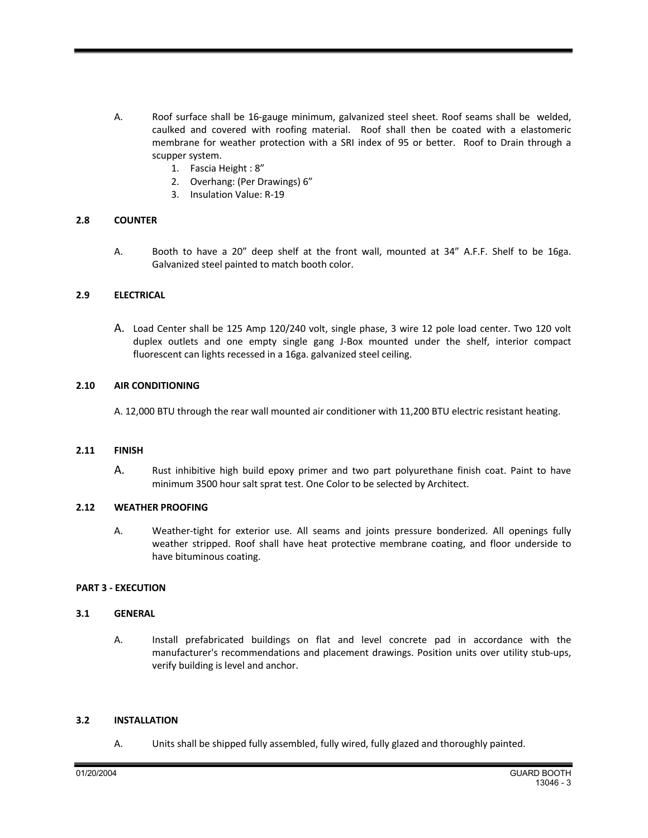- A. Roof surface shall be 16-gauge minimum, galvanized steel sheet. Roof seams shall be welded, caulked and covered with roofing material. Roof shall then be coated with a elastomeric membrane for weather protection with a SRI index of 95 or better. Roof to Drain through a scupper system.
	- 1. Fascia Height : 8"
	- 2. Overhang: (Per Drawings) 6"
	- 3. Insulation Value: R-19

## **2.8 COUNTER**

A. Booth to have a 20" deep shelf at the front wall, mounted at 34" A.F.F. Shelf to be 16ga. Galvanized steel painted to match booth color.

## **2.9 ELECTRICAL**

A. Load Center shall be 125 Amp 120/240 volt, single phase, 3 wire 12 pole load center. Two 120 volt duplex outlets and one empty single gang J-Box mounted under the shelf, interior compact fluorescent can lights recessed in a 16ga. galvanized steel ceiling.

## **2.10 AIR CONDITIONING**

A. 12,000 BTU through the rear wall mounted air conditioner with 11,200 BTU electric resistant heating.

## **2.11 FINISH**

A. Rust inhibitive high build epoxy primer and two part polyurethane finish coat. Paint to have minimum 3500 hour salt sprat test. One Color to be selected by Architect.

## **2.12 WEATHER PROOFING**

A. Weather-tight for exterior use. All seams and joints pressure bonderized. All openings fully weather stripped. Roof shall have heat protective membrane coating, and floor underside to have bituminous coating.

## **PART 3 - EXECUTION**

## **3.1 GENERAL**

A. Install prefabricated buildings on flat and level concrete pad in accordance with the manufacturer's recommendations and placement drawings. Position units over utility stub-ups, verify building is level and anchor.

## **3.2 INSTALLATION**

A. Units shall be shipped fully assembled, fully wired, fully glazed and thoroughly painted.